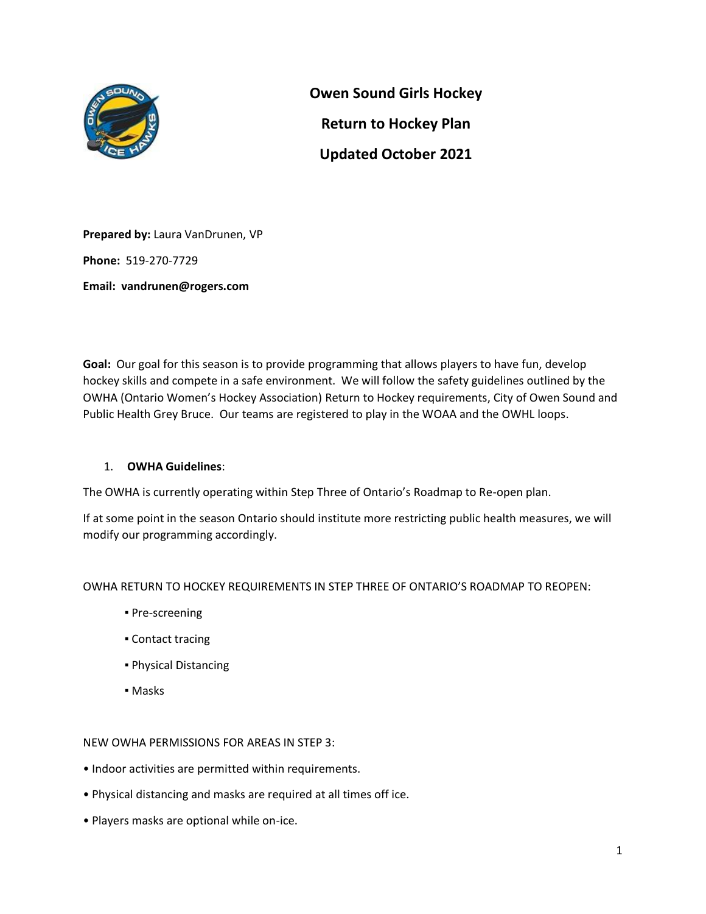

**Owen Sound Girls Hockey Return to Hockey Plan Updated October 2021**

**Prepared by:** Laura VanDrunen, VP **Phone:** 519-270-7729 **Email: vandrunen@rogers.com**

**Goal:** Our goal for this season is to provide programming that allows players to have fun, develop hockey skills and compete in a safe environment. We will follow the safety guidelines outlined by the OWHA (Ontario Women's Hockey Association) Return to Hockey requirements, City of Owen Sound and Public Health Grey Bruce. Our teams are registered to play in the WOAA and the OWHL loops.

# 1. **OWHA Guidelines**:

The OWHA is currently operating within Step Three of Ontario's Roadmap to Re-open plan.

If at some point in the season Ontario should institute more restricting public health measures, we will modify our programming accordingly.

## OWHA RETURN TO HOCKEY REQUIREMENTS IN STEP THREE OF ONTARIO'S ROADMAP TO REOPEN:

- **Pre-screening**
- Contact tracing
- Physical Distancing
- Masks

NEW OWHA PERMISSIONS FOR AREAS IN STEP 3:

- Indoor activities are permitted within requirements.
- Physical distancing and masks are required at all times off ice.
- Players masks are optional while on-ice.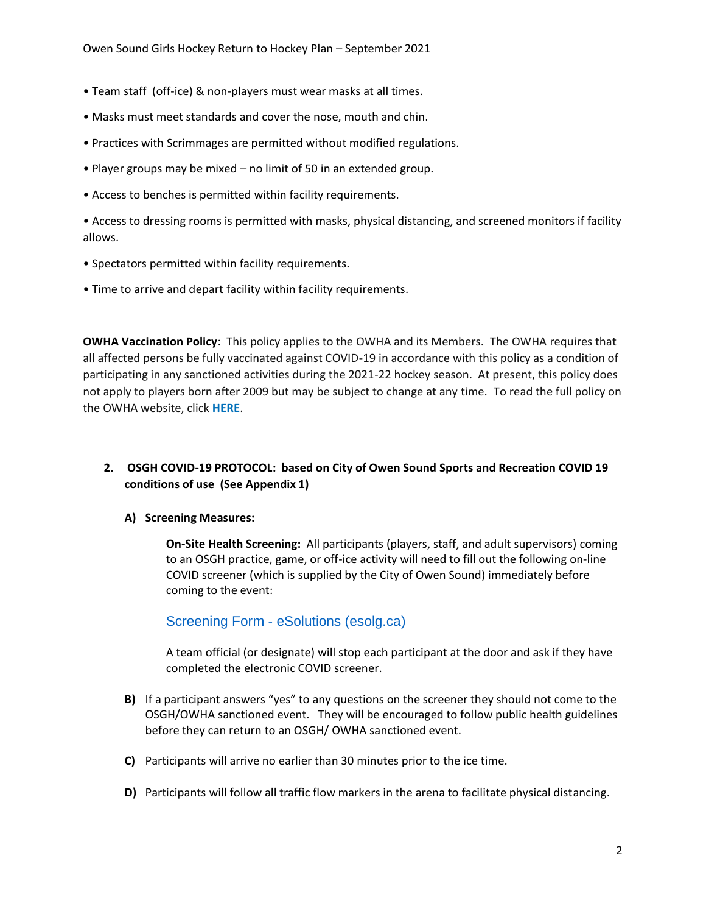- Team staff (off-ice) & non-players must wear masks at all times.
- Masks must meet standards and cover the nose, mouth and chin.
- Practices with Scrimmages are permitted without modified regulations.
- Player groups may be mixed no limit of 50 in an extended group.
- Access to benches is permitted within facility requirements.

• Access to dressing rooms is permitted with masks, physical distancing, and screened monitors if facility allows.

- Spectators permitted within facility requirements.
- Time to arrive and depart facility within facility requirements.

**OWHA Vaccination Policy**: This policy applies to the OWHA and its Members. The OWHA requires that all affected persons be fully vaccinated against COVID-19 in accordance with this policy as a condition of participating in any sanctioned activities during the 2021-22 hockey season. At present, this policy does not apply to players born after 2009 but may be subject to change at any time. To read the full policy on the OWHA website, click **[HERE](https://cloud.rampinteractive.com/whaontario/files/Bulletins/FINAL%20-%20OWHA%20Vaccination%20Policy%20V5.pdf)**.

# **2. OSGH COVID-19 PROTOCOL: based on City of Owen Sound Sports and Recreation COVID 19 conditions of use (See Appendix 1)**

### **A) Screening Measures:**

**On-Site Health Screening:** All participants (players, staff, and adult supervisors) coming to an OSGH practice, game, or off-ice activity will need to fill out the following on-line COVID screener (which is supplied by the City of Owen Sound) immediately before coming to the event:

Screening Form - [eSolutions \(esolg.ca\)](https://frm-cvd-ca.esolg.ca/Owen-Sound/Screening-Form?Id=8d960044-b2ab-4cf9-92a0-c3ef3064b781)

A team official (or designate) will stop each participant at the door and ask if they have completed the electronic COVID screener.

- **B)** If a participant answers "yes" to any questions on the screener they should not come to the OSGH/OWHA sanctioned event. They will be encouraged to follow public health guidelines before they can return to an OSGH/ OWHA sanctioned event.
- **C)** Participants will arrive no earlier than 30 minutes prior to the ice time.
- **D)** Participants will follow all traffic flow markers in the arena to facilitate physical distancing.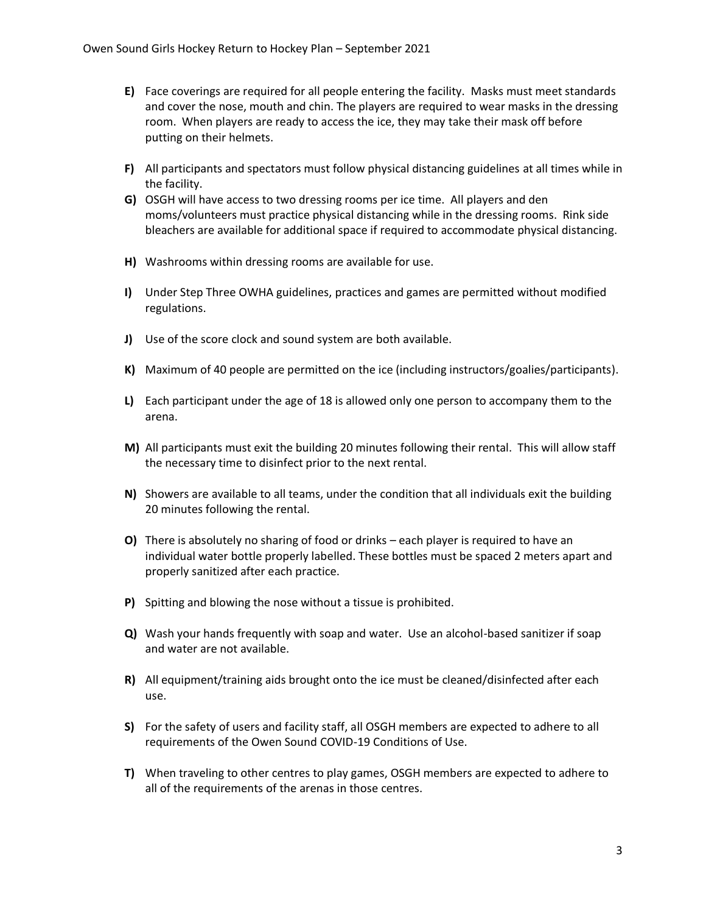- **E)** Face coverings are required for all people entering the facility. Masks must meet standards and cover the nose, mouth and chin. The players are required to wear masks in the dressing room. When players are ready to access the ice, they may take their mask off before putting on their helmets.
- **F)** All participants and spectators must follow physical distancing guidelines at all times while in the facility.
- **G)** OSGH will have access to two dressing rooms per ice time. All players and den moms/volunteers must practice physical distancing while in the dressing rooms. Rink side bleachers are available for additional space if required to accommodate physical distancing.
- **H)** Washrooms within dressing rooms are available for use.
- **I)** Under Step Three OWHA guidelines, practices and games are permitted without modified regulations.
- **J)** Use of the score clock and sound system are both available.
- **K)** Maximum of 40 people are permitted on the ice (including instructors/goalies/participants).
- **L)** Each participant under the age of 18 is allowed only one person to accompany them to the arena.
- **M)** All participants must exit the building 20 minutes following their rental. This will allow staff the necessary time to disinfect prior to the next rental.
- **N)** Showers are available to all teams, under the condition that all individuals exit the building 20 minutes following the rental.
- **O)** There is absolutely no sharing of food or drinks each player is required to have an individual water bottle properly labelled. These bottles must be spaced 2 meters apart and properly sanitized after each practice.
- **P)** Spitting and blowing the nose without a tissue is prohibited.
- **Q)** Wash your hands frequently with soap and water. Use an alcohol-based sanitizer if soap and water are not available.
- **R)** All equipment/training aids brought onto the ice must be cleaned/disinfected after each use.
- **S)** For the safety of users and facility staff, all OSGH members are expected to adhere to all requirements of the Owen Sound COVID-19 Conditions of Use.
- **T)** When traveling to other centres to play games, OSGH members are expected to adhere to all of the requirements of the arenas in those centres.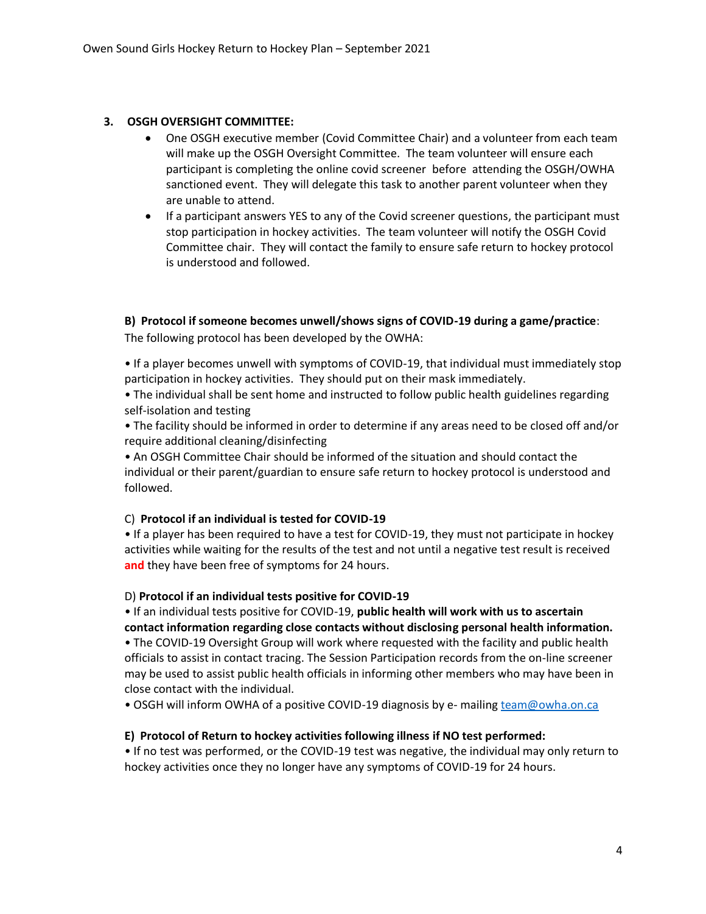### **3. OSGH OVERSIGHT COMMITTEE:**

- One OSGH executive member (Covid Committee Chair) and a volunteer from each team will make up the OSGH Oversight Committee. The team volunteer will ensure each participant is completing the online covid screener before attending the OSGH/OWHA sanctioned event. They will delegate this task to another parent volunteer when they are unable to attend.
- If a participant answers YES to any of the Covid screener questions, the participant must stop participation in hockey activities. The team volunteer will notify the OSGH Covid Committee chair. They will contact the family to ensure safe return to hockey protocol is understood and followed.

**B) Protocol if someone becomes unwell/shows signs of COVID-19 during a game/practice**: The following protocol has been developed by the OWHA:

• If a player becomes unwell with symptoms of COVID-19, that individual must immediately stop participation in hockey activities. They should put on their mask immediately.

• The individual shall be sent home and instructed to follow public health guidelines regarding self-isolation and testing

• The facility should be informed in order to determine if any areas need to be closed off and/or require additional cleaning/disinfecting

• An OSGH Committee Chair should be informed of the situation and should contact the individual or their parent/guardian to ensure safe return to hockey protocol is understood and followed.

#### C) **Protocol if an individual is tested for COVID-19**

• If a player has been required to have a test for COVID-19, they must not participate in hockey activities while waiting for the results of the test and not until a negative test result is received **and** they have been free of symptoms for 24 hours.

#### D) **Protocol if an individual tests positive for COVID-19**

• If an individual tests positive for COVID-19, **public health will work with us to ascertain contact information regarding close contacts without disclosing personal health information.**

• The COVID-19 Oversight Group will work where requested with the facility and public health officials to assist in contact tracing. The Session Participation records from the on-line screener may be used to assist public health officials in informing other members who may have been in close contact with the individual.

• OSGH will inform OWHA of a positive COVID-19 diagnosis by e- mailin[g team@owha.on.ca](mailto:team@owha.on.ca)

#### **E) Protocol of Return to hockey activities following illness if NO test performed:**

• If no test was performed, or the COVID-19 test was negative, the individual may only return to hockey activities once they no longer have any symptoms of COVID-19 for 24 hours.